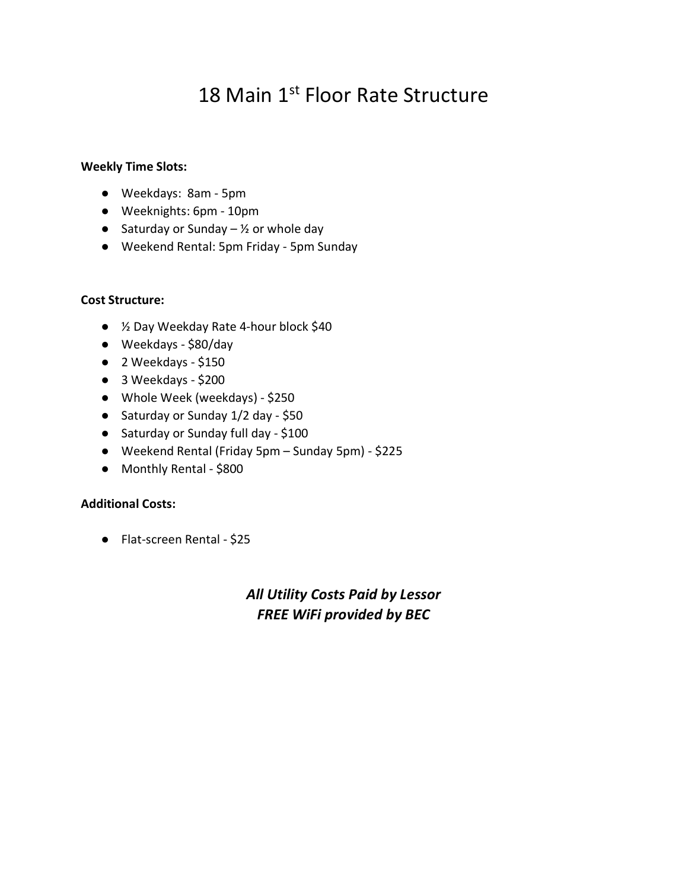# 18 Main 1<sup>st</sup> Floor Rate Structure

#### **Weekly Time Slots:**

- Weekdays: 8am 5pm
- Weeknights: 6pm 10pm
- Saturday or Sunday  $-$  1/2 or whole day
- Weekend Rental: 5pm Friday 5pm Sunday

#### **Cost Structure:**

- ½ Day Weekday Rate 4-hour block \$40
- Weekdays \$80/day
- 2 Weekdays \$150
- 3 Weekdays \$200
- Whole Week (weekdays) \$250
- Saturday or Sunday 1/2 day \$50
- Saturday or Sunday full day \$100
- Weekend Rental (Friday 5pm Sunday 5pm) \$225
- Monthly Rental \$800

#### **Additional Costs:**

● Flat-screen Rental - \$25

### *All Utility Costs Paid by Lessor FREE WiFi provided by BEC*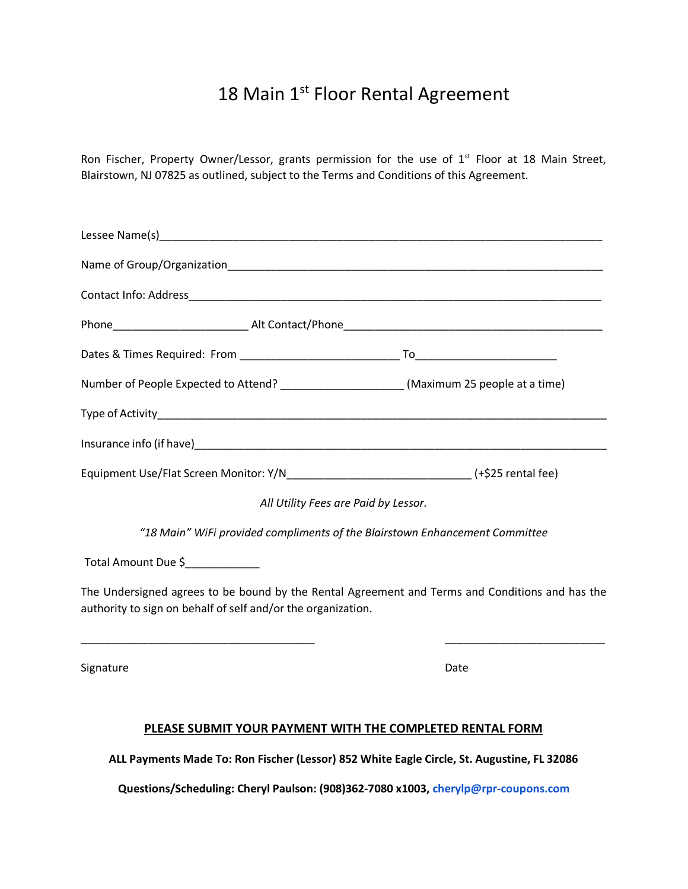## 18 Main 1st Floor Rental Agreement

Ron Fischer, Property Owner/Lessor, grants permission for the use of 1<sup>st</sup> Floor at 18 Main Street, Blairstown, NJ 07825 as outlined, subject to the Terms and Conditions of this Agreement.

| Number of People Expected to Attend? _____________________(Maximum 25 people at a time)    |                                                                                                 |
|--------------------------------------------------------------------------------------------|-------------------------------------------------------------------------------------------------|
|                                                                                            |                                                                                                 |
|                                                                                            |                                                                                                 |
| Equipment Use/Flat Screen Monitor: Y/N__________________________________(+\$25 rental fee) |                                                                                                 |
|                                                                                            | All Utility Fees are Paid by Lessor.                                                            |
|                                                                                            | "18 Main" WiFi provided compliments of the Blairstown Enhancement Committee                     |
| Total Amount Due \$                                                                        |                                                                                                 |
| authority to sign on behalf of self and/or the organization.                               | The Undersigned agrees to be bound by the Rental Agreement and Terms and Conditions and has the |
| Signature                                                                                  | Date                                                                                            |
|                                                                                            | PLEASE SUBMIT YOUR PAYMENT WITH THE COMPLETED RENTAL FORM                                       |
|                                                                                            | ALL Payments Made To: Ron Fischer (Lessor) 852 White Eagle Circle, St. Augustine, FL 32086      |
|                                                                                            | Questions/Scheduling: Cheryl Paulson: (908)362-7080 x1003, cherylp@rpr-coupons.com              |